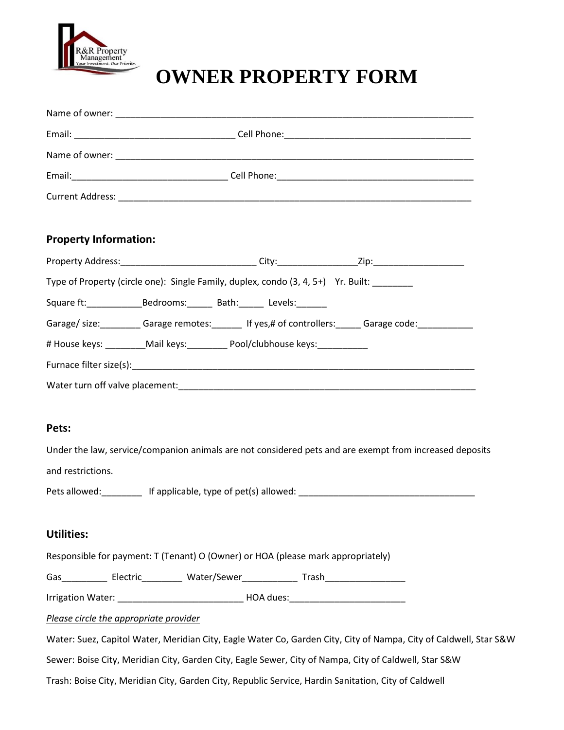

# **OWNER PROPERTY FORM**

| <b>Property Information:</b>           |                                                                                                                   |  |  |
|----------------------------------------|-------------------------------------------------------------------------------------------------------------------|--|--|
|                                        |                                                                                                                   |  |  |
|                                        | Type of Property (circle one): Single Family, duplex, condo (3, 4, 5+) Yr. Built: _______                         |  |  |
|                                        | Square ft: Bedrooms: Bath: Levels:                                                                                |  |  |
|                                        | Garage/size:__________Garage remotes:________ If yes,# of controllers:______Garage code:____________              |  |  |
|                                        | # House keys: _________Mail keys: _________ Pool/clubhouse keys: ______________                                   |  |  |
|                                        |                                                                                                                   |  |  |
|                                        |                                                                                                                   |  |  |
| Pets:                                  | Under the law, service/companion animals are not considered pets and are exempt from increased deposits           |  |  |
| and restrictions.                      |                                                                                                                   |  |  |
|                                        | Pets allowed: ___________ If applicable, type of pet(s) allowed: ___________________________________              |  |  |
| <b>Utilities:</b>                      |                                                                                                                   |  |  |
|                                        | Responsible for payment: T (Tenant) O (Owner) or HOA (please mark appropriately)                                  |  |  |
|                                        |                                                                                                                   |  |  |
|                                        |                                                                                                                   |  |  |
| Please circle the appropriate provider |                                                                                                                   |  |  |
|                                        | Water: Suez, Capitol Water, Meridian City, Eagle Water Co, Garden City, City of Nampa, City of Caldwell, Star S&W |  |  |
|                                        | Sewer: Boise City, Meridian City, Garden City, Eagle Sewer, City of Nampa, City of Caldwell, Star S&W             |  |  |

Trash: Boise City, Meridian City, Garden City, Republic Service, Hardin Sanitation, City of Caldwell